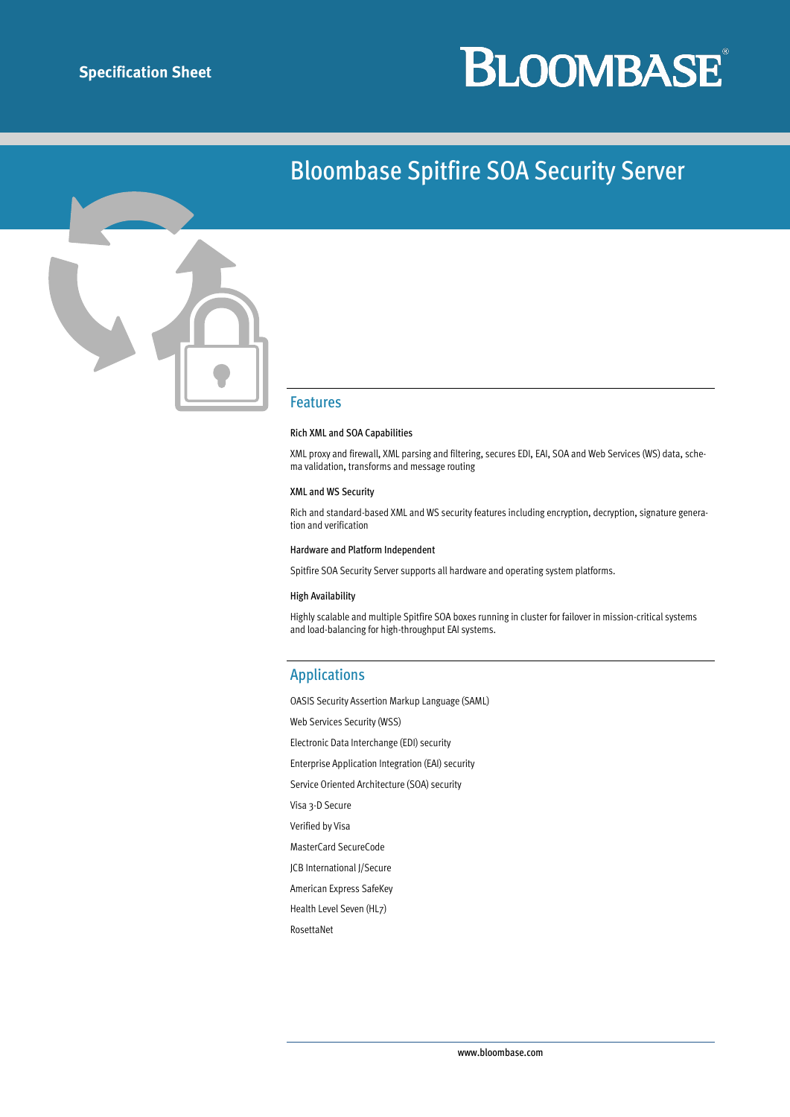# **BLOOMBASE**®

### Bloombase Spitfire SOA Security Server



#### Features

#### Rich XML and SOA Capabilities

XML proxy and firewall, XML parsing and filtering, secures EDI, EAI, SOA and Web Services (WS) data, schema validation, transforms and message routing

#### XML and WS Security

Rich and standard-based XML and WS security features including encryption, decryption, signature generation and verification

#### Hardware and Platform Independent

Spitfire SOA Security Server supports all hardware and operating system platforms.

#### High Availability

Highly scalable and multiple Spitfire SOA boxes running in cluster for failover in mission-critical systems and load-balancing for high-throughput EAI systems.

#### Applications

OASIS Security Assertion Markup Language (SAML) Web Services Security (WSS) Electronic Data Interchange (EDI) security Enterprise Application Integration (EAI) security Service Oriented Architecture (SOA) security Visa 3-D Secure Verified by Visa MasterCard SecureCode JCB International J/Secure

American Express SafeKey

Health Level Seven (HL7)

RosettaNet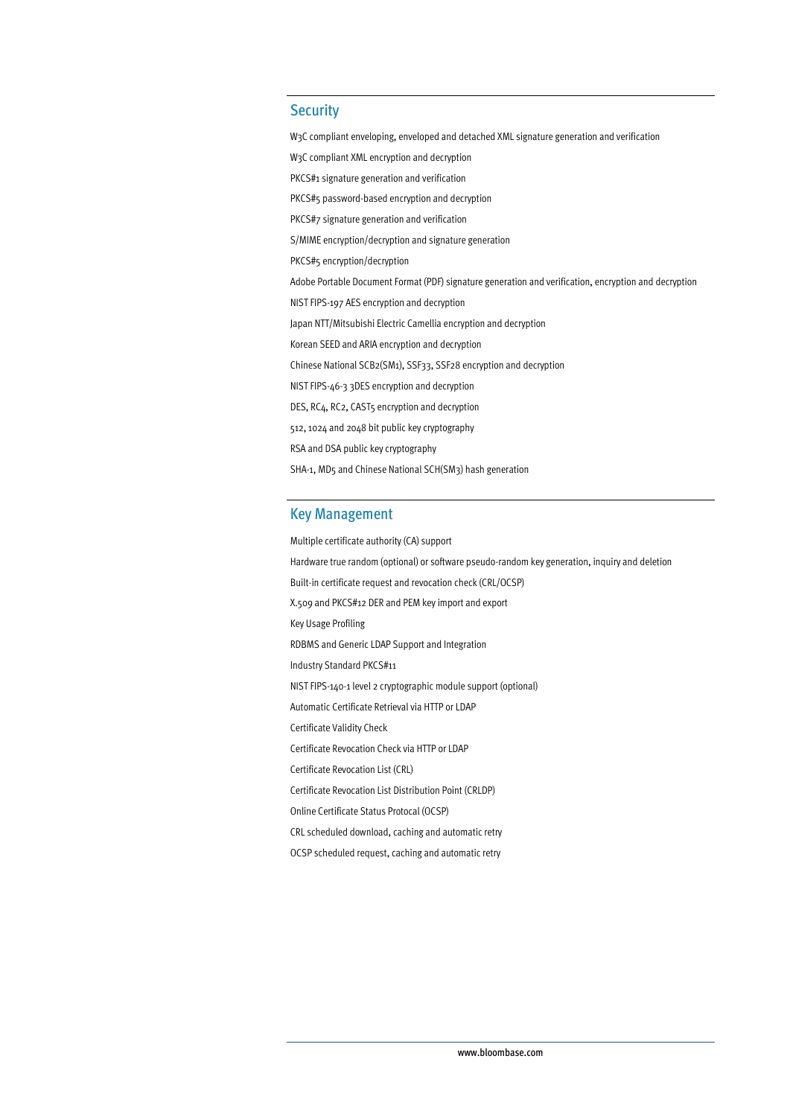#### **Security**

W3C compliant enveloping, enveloped and detached XML signature generation and verification W3C compliant XML encryption and decryption PKCS#1 signature generation and verification PKCS#5 password-based encryption and decryption PKCS#7 signature generation and verification S/MIME encryption/decryption and signature generation PKCS#5 encryption/decryption Adobe Portable Document Format (PDF) signature generation and verification, encryption and decryption NIST FIPS-197 AES encryption and decryption Japan NTT/Mitsubishi Electric Camellia encryption and decryption Korean SEED and ARIA encryption and decryption Chinese National SCB2(SM1), SSF33, SSF28 encryption and decryption NIST FIPS-46-3 3DES encryption and decryption DES, RC4, RC2, CAST5 encryption and decryption 512, 1024 and 2048 bit public key cryptography RSA and DSA public key cryptography SHA-1, MD5 and Chinese National SCH(SM3) hash generation

#### Key Management

Multiple certificate authority (CA) support Hardware true random (optional) or software pseudo-random key generation, inquiry and deletion Built-in certificate request and revocation check (CRL/OCSP) X.509 and PKCS#12 DER and PEM key import and export Key Usage Profiling RDBMS and Generic LDAP Support and Integration Industry Standard PKCS#11 NIST FIPS-140-1 level 2 cryptographic module support (optional) Automatic Certificate Retrieval via HTTP or LDAP Certificate Validity Check Certificate Revocation Check via HTTP or LDAP Certificate Revocation List (CRL) Certificate Revocation List Distribution Point (CRLDP) Online Certificate Status Protocal (OCSP) CRL scheduled download, caching and automatic retry

OCSP scheduled request, caching and automatic retry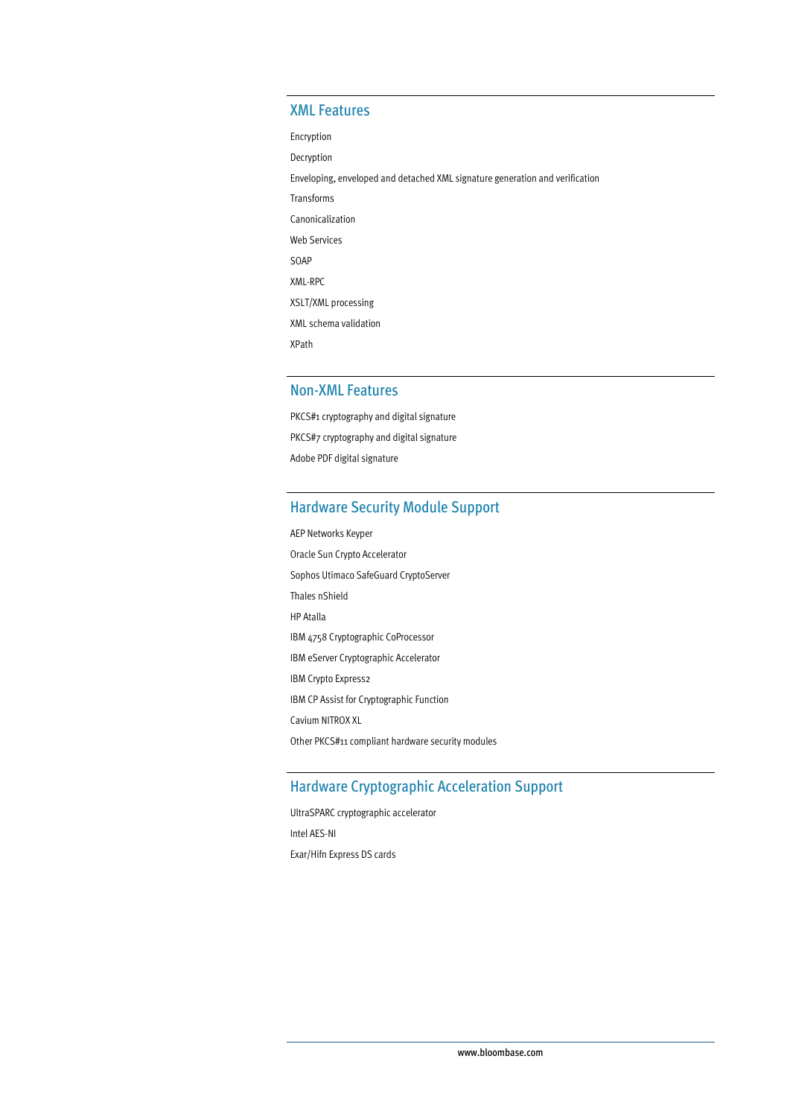#### XML Features

Encryption

Decryption

Enveloping, enveloped and detached XML signature generation and verification

Transforms Canonicalization Web Services

SOAP

XML-RPC

XSLT/XML processing

XML schema validation

XPath

#### Non-XML Features

PKCS#1 cryptography and digital signature PKCS#7 cryptography and digital signature Adobe PDF digital signature

#### Hardware Security Module Support

AEP Networks Keyper Oracle Sun Crypto Accelerator Sophos Utimaco SafeGuard CryptoServer Thales nShield HP Atalla IBM 4758 Cryptographic CoProcessor IBM eServer Cryptographic Accelerator IBM Crypto Express2 IBM CP Assist for Cryptographic Function Cavium NITROX XL Other PKCS#11 compliant hardware security modules

#### Hardware Cryptographic Acceleration Support

UltraSPARC cryptographic accelerator Intel AES-NI Exar/Hifn Express DS cards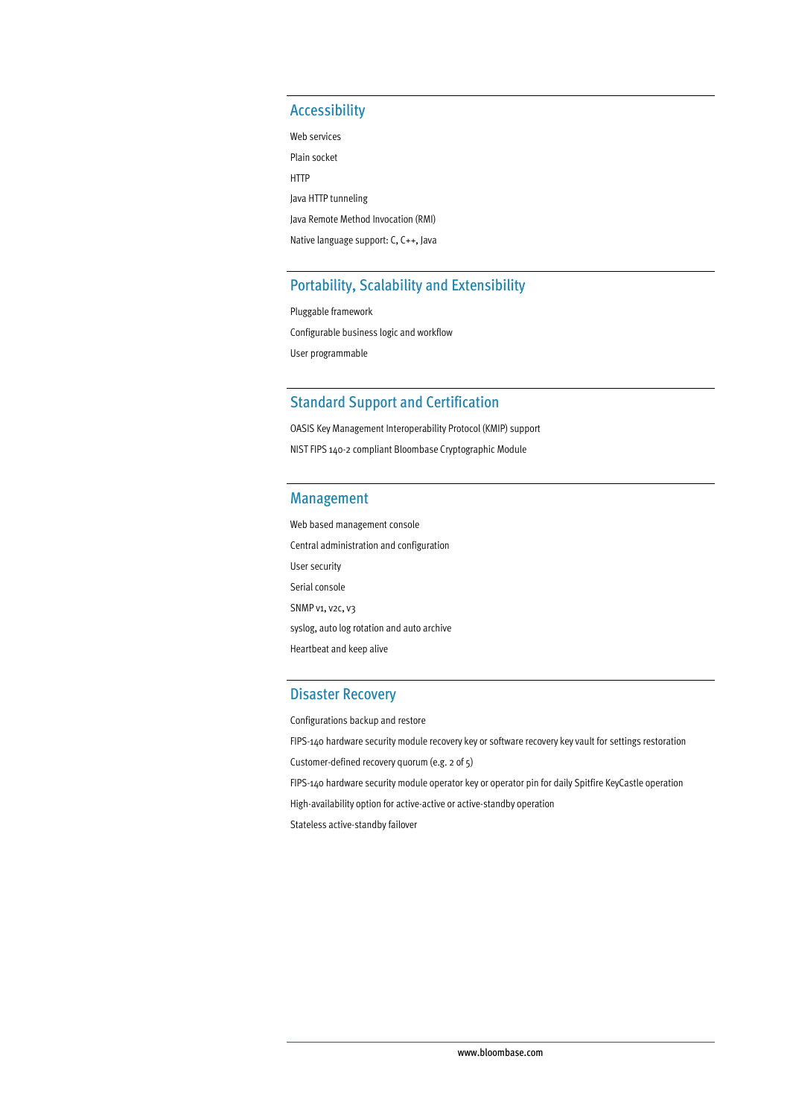#### Accessibility

Web services Plain socket HTTP Java HTTP tunneling Java Remote Method Invocation (RMI) Native language support: C, C++, Java

#### Portability, Scalability and Extensibility

Pluggable framework Configurable business logic and workflow User programmable

#### Standard Support and Certification

OASIS Key Management Interoperability Protocol (KMIP) support NIST FIPS 140-2 compliant Bloombase Cryptographic Module

#### Management

Web based management console Central administration and configuration User security Serial console SNMP v1, v2c, v3 syslog, auto log rotation and auto archive Heartbeat and keep alive

#### Disaster Recovery

Configurations backup and restore

FIPS-140 hardware security module recovery key or software recovery key vault for settings restoration

Customer-defined recovery quorum (e.g. 2 of 5)

FIPS-140 hardware security module operator key or operator pin for daily Spitfire KeyCastle operation

High-availability option for active-active or active-standby operation

Stateless active-standby failover